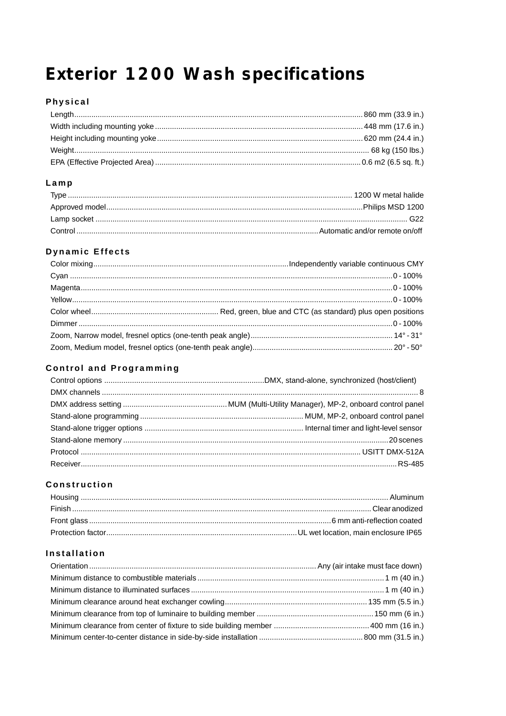# Exterior 1200 Wash specifications

# Physical

### $Lamp$

# **Dynamic Effects**

# **Control and Programming**

### Construction

# Installation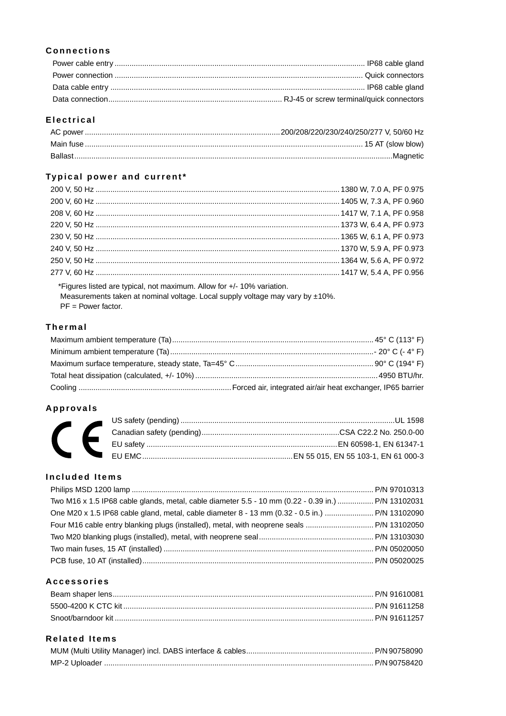# **Connections**

# **Electrical**

# Typical power and current\*

\*Figures listed are typical, not maximum. Allow for +/- 10% variation. Measurements taken at nominal voltage. Local supply voltage may vary by ±10%.

# $PF = Power factor.$

#### **Thermal**

#### Approvals

# **Included Items**

| Two M16 x 1.5 IP68 cable glands, metal, cable diameter 5.5 - 10 mm (0.22 - 0.39 in.)  P/N 13102031 |  |
|----------------------------------------------------------------------------------------------------|--|
|                                                                                                    |  |
|                                                                                                    |  |
|                                                                                                    |  |
|                                                                                                    |  |
|                                                                                                    |  |
|                                                                                                    |  |

# **Accessories**

## **Related Items**